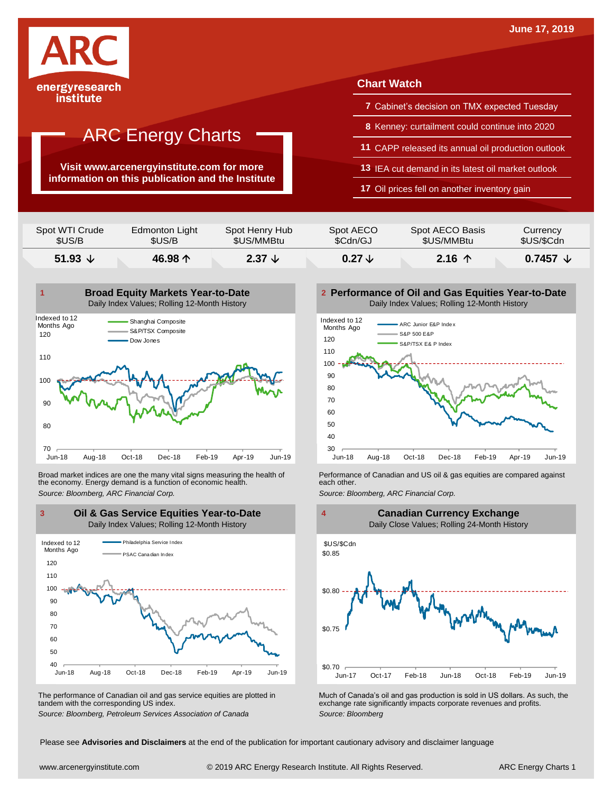

institute

# ARC Energy Charts

**Visit www.arcenergyinstitute.com for more information on this publication and the Institute**

### **Chart Watch**

- **7** Cabinet's decision on TMX expected Tuesday
- **8** Kenney: curtailment could continue into 2020
- **11** CAPP released its annual oil production outlook
- **13** IEA cut demand in its latest oil market outlook
- **17** Oil prices fell on another inventory gain

| 51.93 $\sqrt{ }$ | 46.98 $\uparrow$ | 2.37 $\downarrow$ | $0.27 \downarrow$ | $2.16$ 个        | $0.7457 \; \downarrow$ |
|------------------|------------------|-------------------|-------------------|-----------------|------------------------|
| Spot WTI Crude   | Edmonton Light   | Spot Henry Hub    | Spot AECO         | Spot AECO Basis | Currency               |
| \$US/B           | \$US/B           | \$US/MMBtu        | \$Cdn/GJ          | \$US/MMBtu      | \$US/\$Cdn             |



Broad market indices are one the many vital signs measuring the health of the economy. Energy demand is a function of economic health. Broad market indices are one the many vital signs measuring the health of **Ferformance of Canadian and US oil & gas equities** are compared against the economy. Energy demand is a function of economic health.<br>The economy. E



The performance of Canadian oil and gas service equities are plotted in tandem with the corresponding US index.

**Performance of Oil and Gas Equities Year-to-Date** Daily Index Values; Rolling 12-Month History





The performance of Canadian oil and gas service equities are plotted in Much of Canada's oil and gas production is sold in US dollars. As such, the exchange rate significantly impacts corporate revenues and profits.<br>Source

Please see **Advisories and Disclaimers** at the end of the publication for important cautionary advisory and disclaimer language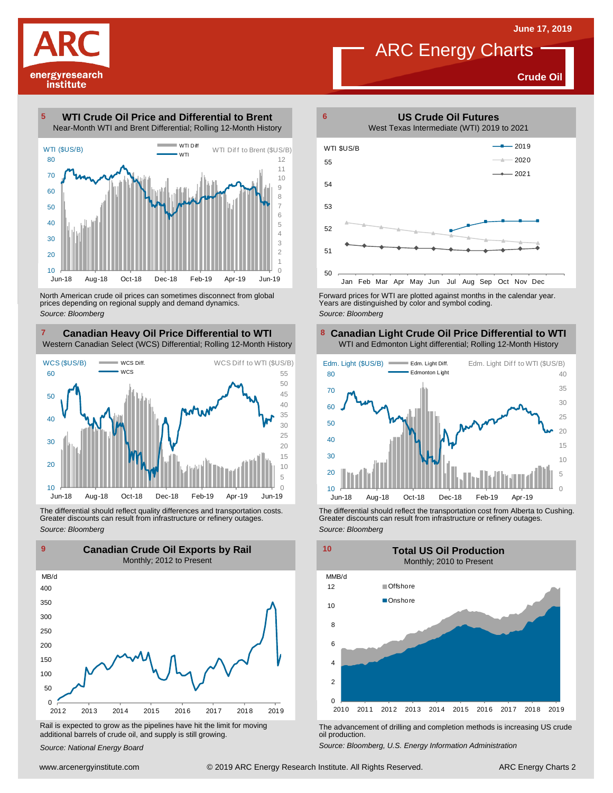**Crude Oil**



**WTI Crude Oil Price and Differential to Brent** Near-Month WTI and Brent Differential; Rolling 12-Month History 



North American crude oil prices can sometimes disconnect from global prices depending on regional supply and demand dynamics. *Source: Bloomberg*

#### **Canadian Heavy Oil Price Differential to WTI 8** Western Canadian Select (WCS) Differential; Rolling 12-Month History



The differential should reflect quality differences and transportation costs. Greater discounts can result from infrastructure or refinery outages. *Source: Bloomberg*



Rail is expected to grow as the pipelines have hit the limit for moving additional barrels of crude oil, and supply is still growing.

*Source: National Energy Board*



Forward prices for WTI are plotted against months in the calendar year. Years are distinguished by color and symbol coding. *Source: Bloomberg*

### **Canadian Light Crude Oil Price Differential to WTI** WTI and Edmonton Light differential; Rolling 12-Month History



The differential should reflect the transportation cost from Alberta to Cushing. Greater discounts can result from infrastructure or refinery outages. *Source: Bloomberg*



The advancement of drilling and completion methods is increasing US crude oil production.

*Source: Bloomberg, U.S. Energy Information Administration*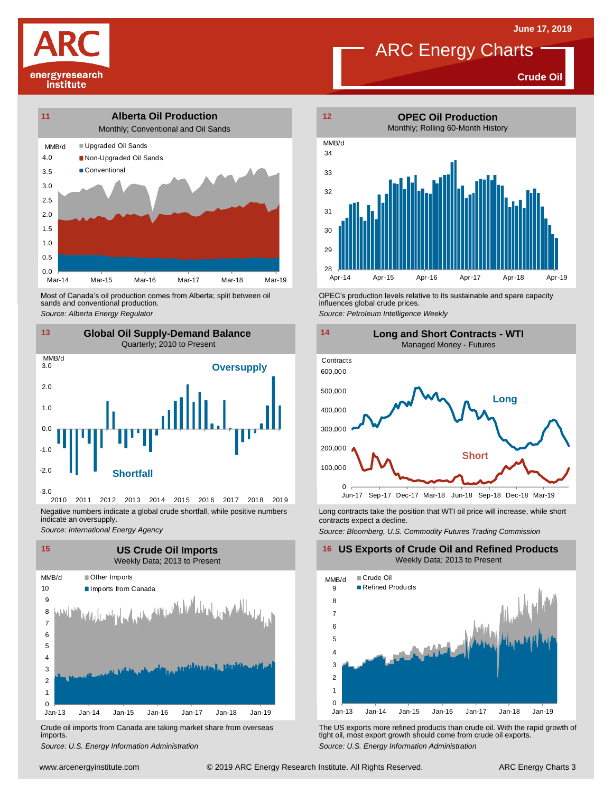**Crude Oil**



energyresearch institute

> Most of Canada's oil production comes from Alberta; split between oil sands and conventional production. Most of Canada's oil production comes from Alberta; split between oil **Source:** OPEC's production levels relative to its sustainable and spare capacity<br>
> Source: Alberta *Energy Regulator*<br>
> Source: Petroleum Intelligence We



2010 2011 2012 2013 2014 2015 2016 2017 2018 2019 Negative numbers indicate a global crude shortfall, while positive numbers indicate an oversupply.

*Source: International Energy Agency*



Crude oil imports from Canada are taking market share from overseas imports.



influences global crude prices.

*Source: Petroleum Intelligence Weekly*



Long contracts take the position that WTI oil price will increase, while short contracts expect a decline.

*Source: Bloomberg, U.S. Commodity Futures Trading Commission*

**16 US Exports of Crude Oil and Refined Products** Weekly Data; 2013 to Present



Using the US exports more refined products than crude oil With the rapid growth of tight oil, most exports more refined products than crude oil. With the rapid growth of institute. All Rights Agency Information Administrat *S*rude oil imports from Canada are taking market share from overseas<br>
imports.<br>
Source: U.S. Energy Information Administration<br>
Source: U.S. Energy Information Administration tight oil, most export growth should come from crude oil exports. *Source: U.S. Energy Information Administration*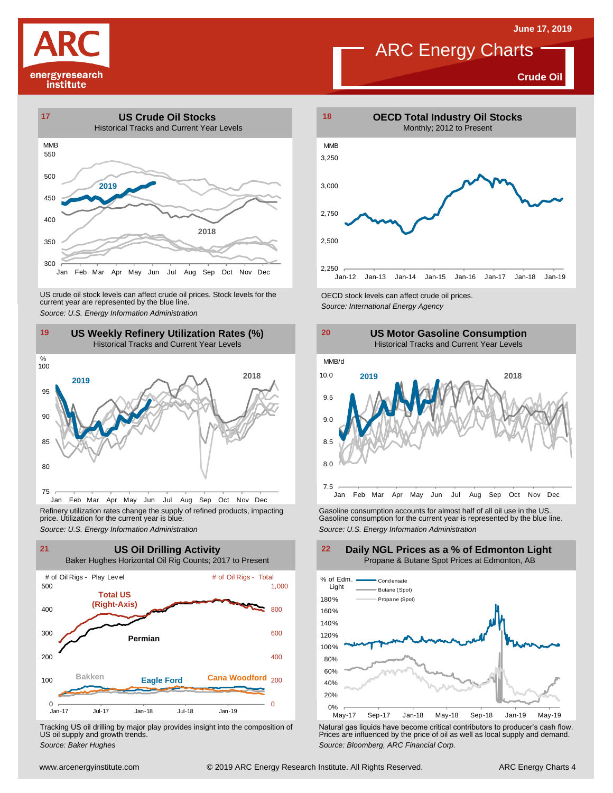**Crude Oil**





US crude oil stock levels can affect crude oil prices. Stock levels for the CECD stock levels can affect crude oil prices.<br>
Source: U.S. Energy Information Administration<br>
19 US Weekly Refinery Utilization Rates (%)<br>
Histo



Jan Feb Mar Apr May Jun Jul Aug Sep Oct Nov Dec Refinery utilization rates change the supply of refined products, impacting price. Utilization for the current year is blue.



Tracking US oil drilling by major play provides insight into the composition of US oil supply and growth trends.





Refinery utilization rates change the supply of refined products, impacting<br>
price. Utilization for the current year is blue.<br>
Source: U.S. Energy Information Administration<br>
Source: U.S. Energy Information Administration<br>



Tracking US oil drilling by major play provides insight into the composition of<br>US oil supply and growth trends.<br>Source: Baker Hughes<br>Source: Baker Hughes

**Daily NGL Prices as a % of Edmonton Light** Propane & Butane Spot Prices at Edmonton, AB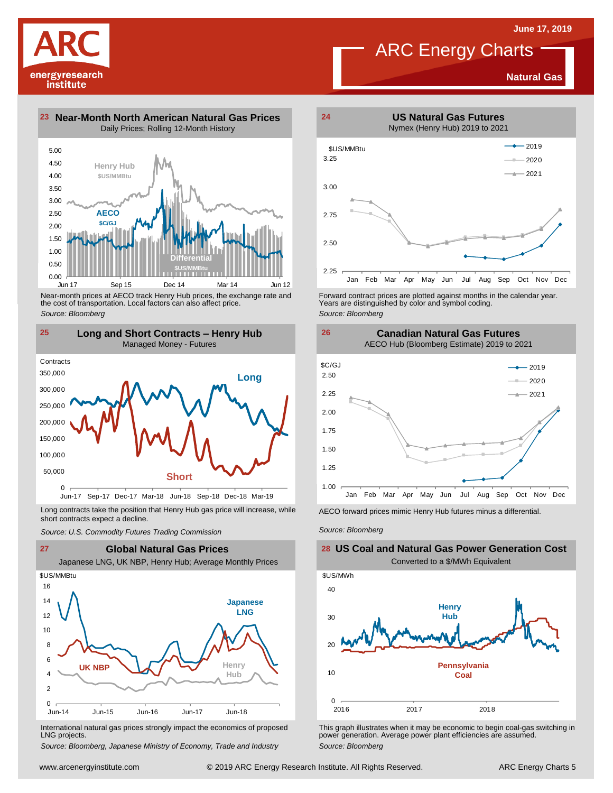**Natural Gas**



Near-month prices at AECO track Henry Hub prices, the exchange rate and the cost of transportation. Local factors can also affect price. *Source: Bloomberg*

Jun 17 Sep 15 Dec 14 Mar 14 Jun 12

**\$US/MMBtu**

0.00

energyresearch institute



Long contracts take the position that Henry Hub gas price will increase, while short contracts expect a decline. *Source: U.S. Commodity Futures Trading Commission* AECO forward prices mimic Henry Hub futures minus <sup>a</sup> differential. *Source: Bloomberg*



International natural gas prices strongly impact the economics of proposed LNG projects.

*Source: Bloomberg, Japanese Ministry of Economy, Trade and Industry*



Forward contract prices are plotted against months in the calendar year.<br>Years are distinguished by color and symbol coding. *Source: Bloomberg*

**Canadian Natural Gas Futures**



**26**

### **US Coal and Natural Gas Power Generation Cost** Converted to a \$/MWh Equivalent



This graph illustrates when it may be economic to begin coal-gas switching in power generation. Average power plant efficiencies are assumed. *Source: Bloomberg*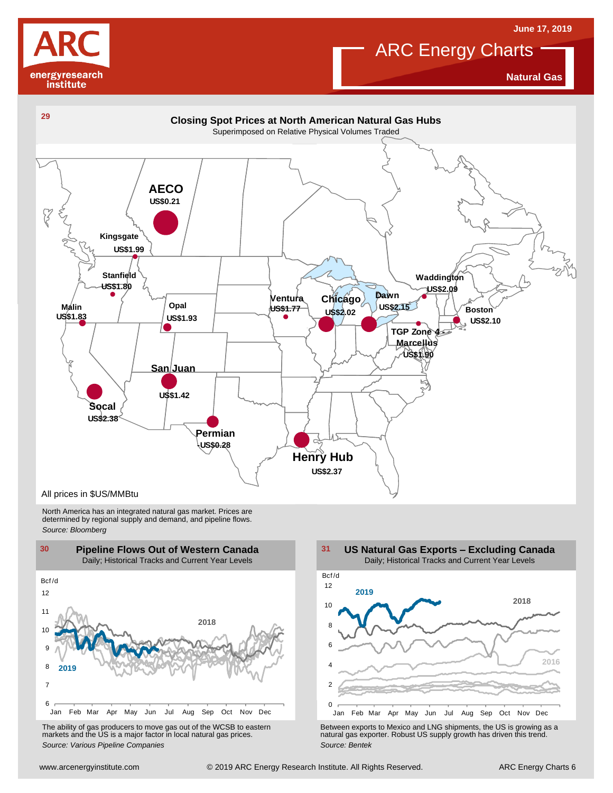

**Natural Gas**

**June 17, 2019**



North America has an integrated natural gas market. Prices are determined by regional supply and demand, and pipeline flows. *Source: Bloomberg*



The ability of gas producers to move gas out of the WCSB to eastern markets and the US is <sup>a</sup> major factor in local natural gas prices.

2 4 6 8 10 12 Jan Feb Mar Apr May Jun Jul Aug Sep Oct Nov Dec Bcf /d **US Natural Gas Exports – Excluding Canada** Daily; Historical Tracks and Current Year Levels **2018 2016 2019**

Using the Marting of the Way Jun Juli Augusta Control of the WCSB to eastern<br>
The ability of gas producers to move gas out of the WCSB to eastern<br>
markets and the US is a major factor in local natural gas prices.<br>
Source: The ability of gas producers to move gas out of the WCSB to eastern<br>
markets and the US is a major factor in local natural gas prices.<br>
Source: Various Pipeline Companies<br>
Source: Bentek<br>
Source: Bentek<br>
Source: Bentek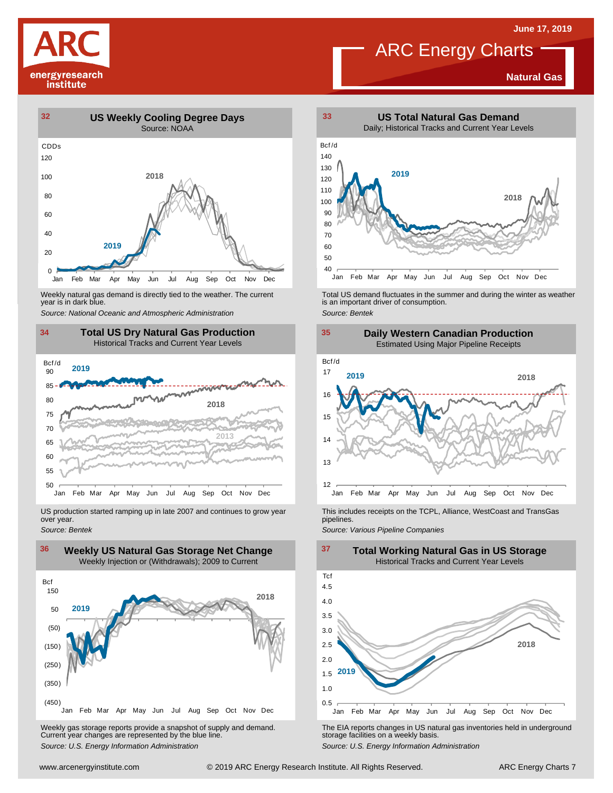

### **Natural Gas**



Weekly natural gas demand is directly tied to the weather. The current year is in dark blue.



US production started ramping up in late 2007 and continues to grow year over year. *Source: Bentek*



Weekly gas storage reports provide <sup>a</sup> snapshot of supply and demand. Current year changes are represented by the blue line. Weekly gas storage reports provide a snapshot of supply and demand.<br>
The EIA reports changes in US natural gas inventories held in underground<br>
Source: U.S. Energy Information Administration<br>
Source: U.S. Energy Informatio



Weekly natural gas demand is directly tied to the weather. The current<br>year is in dark blue.<br>Source: National Oceanic and Atmospheric Administration<br>Source: Bentek<br>Source: Bentek



This includes receipts on the TCPL, Alliance, WestCoast and TransGas pipelines.

*Source: Various Pipeline Companies*

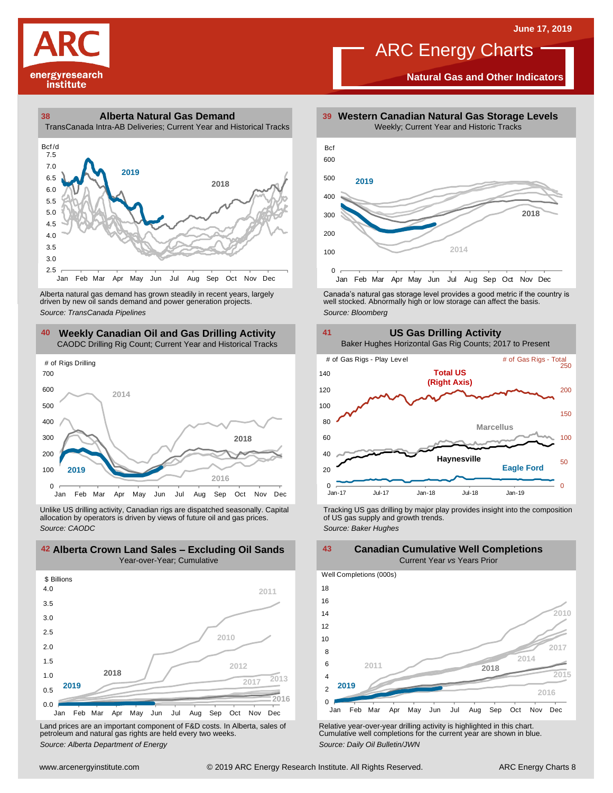

**Natural Gas and Other Indicators**





driven by new oil sands demand and power generation projects.

### **40 41 Weekly Canadian Oil and Gas Drilling Activity** CAODC Drilling Rig Count; Current Year and Historical Tracks



Unlike US drilling activity, Canadian rigs are dispatched seasonally. Capital allocation by operators is driven by views of future oil and gas prices. *Source: CAODC*



Land prices are an important component of F&D costs. In Alberta, sales of petroleum and natural gas rights are held every two weeks. *Source: Alberta Department of Energy*



Alberta natural gas demand has grown steadily in recent years, largely **canada's natural gas storage level provid**es a good metric if the country is driven by new oil sands demand and power generation projects.<br>And the sto



Tracking US gas drilling by major play provides insight into the composition of US gas supply and growth trends. *Source: Baker Hughes*

Well Completions (000s) **42 43 Alberta Crown Land Sales – Excluding Oil Sands Canadian Cumulative Well Completions** Current Year *vs* Years Prior



Relative year-over-year drilling activity is highlighted in this chart. Cumulative well completions for the current year are shown in blue. *Source: Daily Oil Bulletin/JWN*